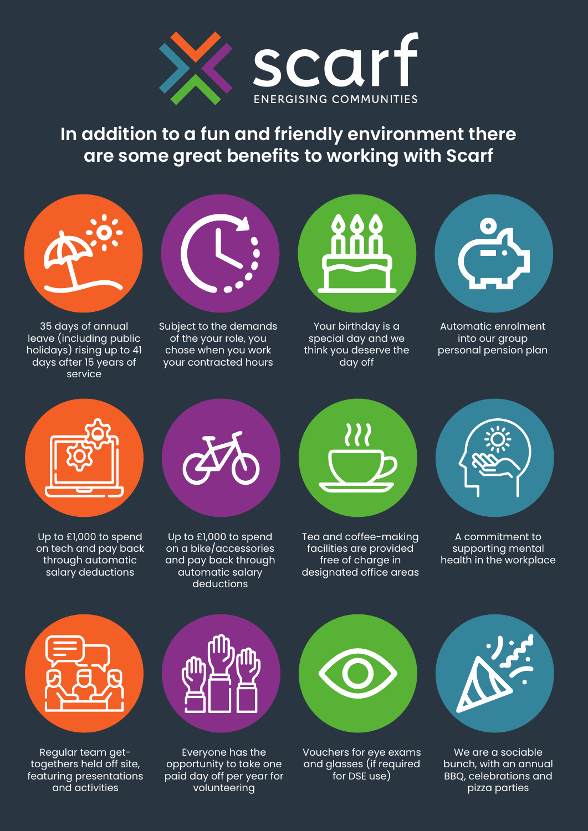

**In addition to a fun and friendly environment there are some great benefits to working with Scarf**



35 days of annual leave (including public holidays) rising up to 41 days after 15 years of service



Subject to the demands of the your role, you chose when you work your contracted hours



Your birthday is a special day and we think you deserve the day off



Automatic enrolment into our group personal pension plan



Up to £1,000 to spend on tech and pay back through automatic salary deductions



Up to £1,000 to spend on a bike/accessories and pay back through automatic salary deductions



Tea and coffee-making facilities are provided free of charge in designated office areas



A commitment to supporting mental health in the workplace



Regular team gettogethers held off site, featuring presentations and activities



Everyone has the opportunity to take one paid day off per year for volunteering



Vouchers for eye exams and glasses (if required for DSE use)



We are a sociable bunch, with an annual BBQ, celebrations and pizza parties